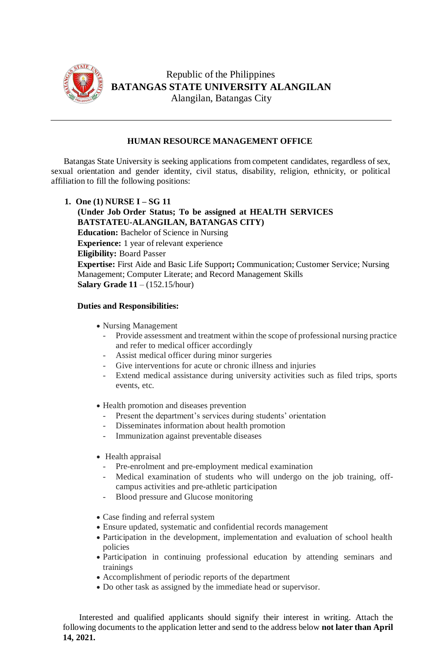

Republic of the Philippines **BATANGAS STATE UNIVERSITY ALANGILAN** Alangilan, Batangas City

## **HUMAN RESOURCE MANAGEMENT OFFICE**

Batangas State University is seeking applications from competent candidates, regardless of sex, sexual orientation and gender identity, civil status, disability, religion, ethnicity, or political affiliation to fill the following positions:

**1. One (1) NURSE I – SG 11 (Under Job Order Status; To be assigned at HEALTH SERVICES BATSTATEU-ALANGILAN, BATANGAS CITY) Education:** Bachelor of Science in Nursing **Experience:** 1 year of relevant experience **Eligibility:** Board Passer **Expertise:** First Aide and Basic Life Support**;** Communication; Customer Service; Nursing Management; Computer Literate; and Record Management Skills **Salary Grade 11** – (152.15/hour)

## **Duties and Responsibilities:**

- Nursing Management
	- Provide assessment and treatment within the scope of professional nursing practice and refer to medical officer accordingly
	- Assist medical officer during minor surgeries
	- Give interventions for acute or chronic illness and injuries
	- Extend medical assistance during university activities such as filed trips, sports events, etc.
- Health promotion and diseases prevention
	- Present the department's services during students' orientation
	- Disseminates information about health promotion
	- Immunization against preventable diseases
- Health appraisal
	- Pre-enrolment and pre-employment medical examination
	- Medical examination of students who will undergo on the job training, offcampus activities and pre-athletic participation
	- Blood pressure and Glucose monitoring
- Case finding and referral system
- Ensure updated, systematic and confidential records management
- Participation in the development, implementation and evaluation of school health policies
- Participation in continuing professional education by attending seminars and trainings
- Accomplishment of periodic reports of the department
- Do other task as assigned by the immediate head or supervisor.

Interested and qualified applicants should signify their interest in writing. Attach the following documents to the application letter and send to the address below **not later than April 14, 2021.**